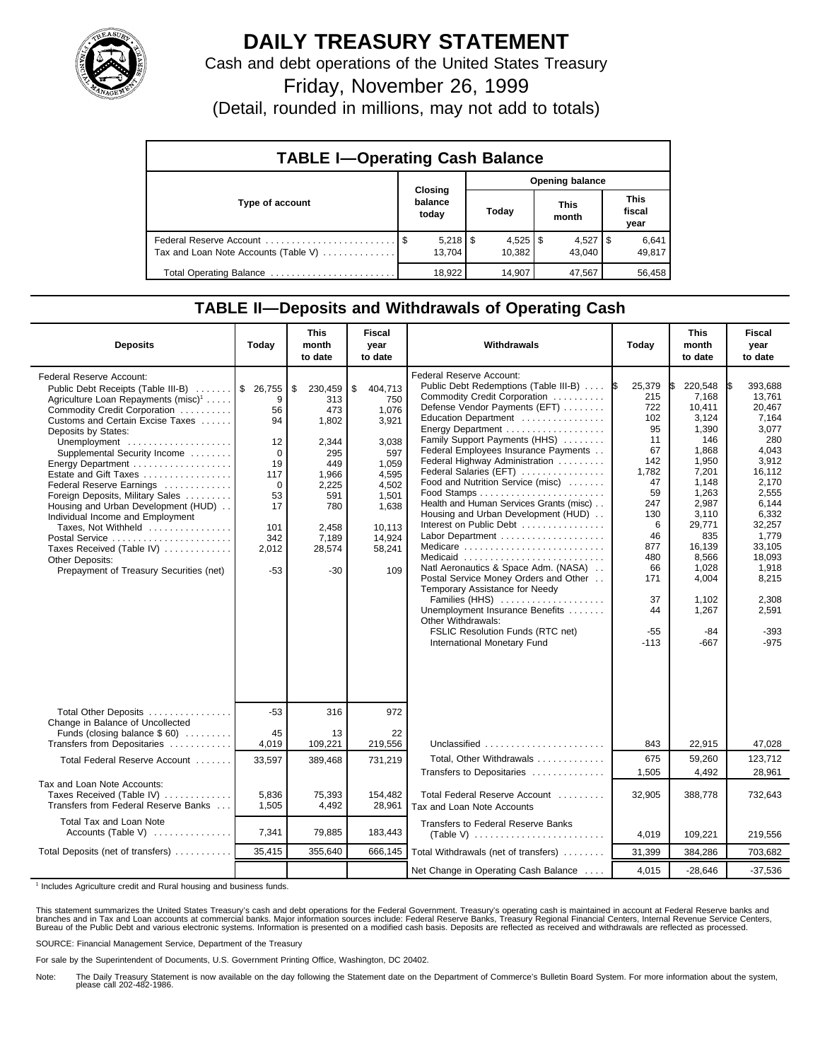

## **DAILY TREASURY STATEMENT**

Cash and debt operations of the United States Treasury

Friday, November 26, 1999

(Detail, rounded in millions, may not add to totals)

| <b>TABLE I-Operating Cash Balance</b> |                             |        |                        |                        |                      |                        |                               |                 |  |
|---------------------------------------|-----------------------------|--------|------------------------|------------------------|----------------------|------------------------|-------------------------------|-----------------|--|
|                                       | Closing<br>balance<br>today |        | <b>Opening balance</b> |                        |                      |                        |                               |                 |  |
| Type of account                       |                             |        | Today                  |                        | <b>This</b><br>month |                        | <b>This</b><br>fiscal<br>year |                 |  |
| Tax and Loan Note Accounts (Table V)  |                             | 13.704 |                        | $4,525$   \$<br>10.382 |                      | $4,527$   \$<br>43.040 |                               | 6,641<br>49,817 |  |
| Total Operating Balance               |                             | 18.922 |                        | 14,907                 |                      | 47,567                 |                               | 56,458          |  |

## **TABLE II—Deposits and Withdrawals of Operating Cash**

| <b>Deposits</b>                                                                                                                                                                                                                                                                                                                                                                                                                                                                                                                                                                                      | Today                                                                                         | <b>This</b><br>month<br>to date                                                                                                  | Fiscal<br>year<br>to date                                                                                                                | Withdrawals                                                                                                                                                                                                                                                                                                                                                                                                                                                                                                                                                                                                                                                                                                                                                                                | Today                                                                                                                                                               | <b>This</b><br>month<br>to date                                                                                                                                                                             | <b>Fiscal</b><br>year<br>to date                                                                                                                                                                                           |
|------------------------------------------------------------------------------------------------------------------------------------------------------------------------------------------------------------------------------------------------------------------------------------------------------------------------------------------------------------------------------------------------------------------------------------------------------------------------------------------------------------------------------------------------------------------------------------------------------|-----------------------------------------------------------------------------------------------|----------------------------------------------------------------------------------------------------------------------------------|------------------------------------------------------------------------------------------------------------------------------------------|--------------------------------------------------------------------------------------------------------------------------------------------------------------------------------------------------------------------------------------------------------------------------------------------------------------------------------------------------------------------------------------------------------------------------------------------------------------------------------------------------------------------------------------------------------------------------------------------------------------------------------------------------------------------------------------------------------------------------------------------------------------------------------------------|---------------------------------------------------------------------------------------------------------------------------------------------------------------------|-------------------------------------------------------------------------------------------------------------------------------------------------------------------------------------------------------------|----------------------------------------------------------------------------------------------------------------------------------------------------------------------------------------------------------------------------|
| Federal Reserve Account:<br>Public Debt Receipts (Table III-B)  \$ 26,755<br>Agriculture Loan Repayments (misc) <sup>1</sup><br>Commodity Credit Corporation<br>Customs and Certain Excise Taxes<br>Deposits by States:<br>Unemployment<br>Supplemental Security Income<br>Energy Department<br>Estate and Gift Taxes<br>Federal Reserve Earnings<br>Foreign Deposits, Military Sales<br>Housing and Urban Development (HUD)<br>Individual Income and Employment<br>Taxes, Not Withheld<br>Postal Service<br>Taxes Received (Table IV)<br>Other Deposits:<br>Prepayment of Treasury Securities (net) | 9<br>56<br>94<br>12<br>0<br>19<br>117<br>$\Omega$<br>53<br>17<br>101<br>342<br>2,012<br>$-53$ | \$<br>230,459<br>313<br>473<br>1,802<br>2,344<br>295<br>449<br>1,966<br>2,225<br>591<br>780<br>2,458<br>7,189<br>28,574<br>$-30$ | \$<br>404,713<br>750<br>1,076<br>3,921<br>3,038<br>597<br>1,059<br>4,595<br>4,502<br>1,501<br>1,638<br>10.113<br>14.924<br>58,241<br>109 | <b>Federal Reserve Account:</b><br>Public Debt Redemptions (Table III-B)<br>Commodity Credit Corporation<br>Defense Vendor Payments (EFT)<br>Education Department<br>Energy Department<br>Family Support Payments (HHS)<br>Federal Employees Insurance Payments<br>Federal Highway Administration<br>Federal Salaries (EFT)<br>Food and Nutrition Service (misc)<br>Health and Human Services Grants (misc)<br>Housing and Urban Development (HUD)<br>Interest on Public Debt<br>Labor Department<br>Medicare<br>Medicaid<br>Natl Aeronautics & Space Adm. (NASA)<br>Postal Service Money Orders and Other<br>Temporary Assistance for Needy<br>Families (HHS)<br>Unemployment Insurance Benefits<br>Other Withdrawals:<br>FSLIC Resolution Funds (RTC net)<br>International Monetary Fund | 25,379<br>1\$<br>215<br>722<br>102<br>95<br>11<br>67<br>142<br>1,782<br>47<br>59<br>247<br>130<br>6<br>46<br>877<br>480<br>66<br>171<br>37<br>44<br>$-55$<br>$-113$ | 220,548<br>7,168<br>10,411<br>3,124<br>1,390<br>146<br>1,868<br>1,950<br>7,201<br>1,148<br>1,263<br>2,987<br>3,110<br>29,771<br>835<br>16,139<br>8.566<br>1,028<br>4,004<br>1,102<br>1,267<br>$-84$<br>-667 | 393.688<br>I\$<br>13,761<br>20,467<br>7,164<br>3.077<br>280<br>4,043<br>3,912<br>16.112<br>2.170<br>2,555<br>6,144<br>6,332<br>32,257<br>1,779<br>33,105<br>18,093<br>1,918<br>8,215<br>2,308<br>2,591<br>$-393$<br>$-975$ |
| Total Other Deposits<br>Change in Balance of Uncollected<br>Funds (closing balance \$60)                                                                                                                                                                                                                                                                                                                                                                                                                                                                                                             | $-53$<br>45                                                                                   | 316<br>13                                                                                                                        | 972<br>22                                                                                                                                |                                                                                                                                                                                                                                                                                                                                                                                                                                                                                                                                                                                                                                                                                                                                                                                            |                                                                                                                                                                     |                                                                                                                                                                                                             |                                                                                                                                                                                                                            |
| Transfers from Depositaries                                                                                                                                                                                                                                                                                                                                                                                                                                                                                                                                                                          | 4,019                                                                                         | 109,221                                                                                                                          | 219,556                                                                                                                                  | Unclassified<br>Total. Other Withdrawals                                                                                                                                                                                                                                                                                                                                                                                                                                                                                                                                                                                                                                                                                                                                                   | 843<br>675                                                                                                                                                          | 22,915<br>59.260                                                                                                                                                                                            | 47,028<br>123.712                                                                                                                                                                                                          |
| Total Federal Reserve Account                                                                                                                                                                                                                                                                                                                                                                                                                                                                                                                                                                        | 33,597                                                                                        | 389,468                                                                                                                          | 731,219                                                                                                                                  | Transfers to Depositaries                                                                                                                                                                                                                                                                                                                                                                                                                                                                                                                                                                                                                                                                                                                                                                  | 1,505                                                                                                                                                               | 4,492                                                                                                                                                                                                       | 28,961                                                                                                                                                                                                                     |
| Tax and Loan Note Accounts:<br>Taxes Received (Table IV)<br>Transfers from Federal Reserve Banks                                                                                                                                                                                                                                                                                                                                                                                                                                                                                                     | 5,836<br>1,505                                                                                | 75,393<br>4,492                                                                                                                  | 154,482<br>28,961                                                                                                                        | Total Federal Reserve Account<br>Tax and Loan Note Accounts                                                                                                                                                                                                                                                                                                                                                                                                                                                                                                                                                                                                                                                                                                                                | 32,905                                                                                                                                                              | 388,778                                                                                                                                                                                                     | 732,643                                                                                                                                                                                                                    |
| Total Tax and Loan Note<br>Accounts (Table V) $\dots\dots\dots\dots$                                                                                                                                                                                                                                                                                                                                                                                                                                                                                                                                 | 7,341                                                                                         | 79,885                                                                                                                           | 183,443                                                                                                                                  | Transfers to Federal Reserve Banks                                                                                                                                                                                                                                                                                                                                                                                                                                                                                                                                                                                                                                                                                                                                                         | 4,019                                                                                                                                                               | 109,221                                                                                                                                                                                                     | 219,556                                                                                                                                                                                                                    |
| Total Deposits (net of transfers)                                                                                                                                                                                                                                                                                                                                                                                                                                                                                                                                                                    | 35,415                                                                                        | 355.640                                                                                                                          | 666,145                                                                                                                                  | Total Withdrawals (net of transfers)                                                                                                                                                                                                                                                                                                                                                                                                                                                                                                                                                                                                                                                                                                                                                       | 31,399                                                                                                                                                              | 384,286                                                                                                                                                                                                     | 703,682                                                                                                                                                                                                                    |
|                                                                                                                                                                                                                                                                                                                                                                                                                                                                                                                                                                                                      |                                                                                               |                                                                                                                                  |                                                                                                                                          | Net Change in Operating Cash Balance                                                                                                                                                                                                                                                                                                                                                                                                                                                                                                                                                                                                                                                                                                                                                       | 4,015                                                                                                                                                               | $-28,646$                                                                                                                                                                                                   | $-37,536$                                                                                                                                                                                                                  |

<sup>1</sup> Includes Agriculture credit and Rural housing and business funds.

This statement summarizes the United States Treasury's cash and debt operations for the Federal Government. Treasury's operating cash is maintained in account at Federal Reserve banks and<br>branches and in Tax and Loan accou

SOURCE: Financial Management Service, Department of the Treasury

For sale by the Superintendent of Documents, U.S. Government Printing Office, Washington, DC 20402.

Note: The Daily Treasury Statement is now available on the day following the Statement date on the Department of Commerce's Bulletin Board System. For more information about the system, please call 202-482-1986.